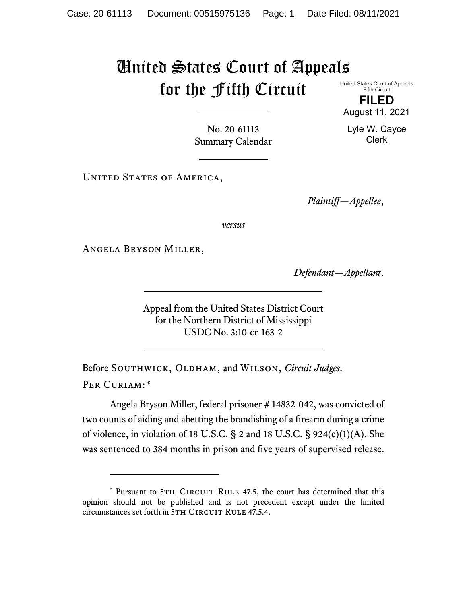## United States Court of Appeals for the Fifth Circuit United States Court of Appeals

Fifth Circuit **FILED**

Lyle W. Cayce Clerk

August 11, 2021

No. 20-61113 Summary Calendar

UNITED STATES OF AMERICA,

*Plaintiff—Appellee*,

*versus*

Angela Bryson Miller,

*Defendant—Appellant*.

Appeal from the United States District Court for the Northern District of Mississippi USDC No. 3:10-cr-163-2

Before SOUTHWICK, OLDHAM, and WILSON, *Circuit Judges*. Per Curiam:[\\*](#page-0-0)

Angela Bryson Miller, federal prisoner # 14832-042, was convicted of two counts of aiding and abetting the brandishing of a firearm during a crime of violence, in violation of 18 U.S.C. § 2 and 18 U.S.C. § 924(c)(1)(A). She was sentenced to 384 months in prison and five years of supervised release.

<span id="page-0-0"></span><sup>\*</sup> Pursuant to 5TH CIRCUIT RULE 47.5, the court has determined that this opinion should not be published and is not precedent except under the limited circumstances set forth in 5TH CIRCUIT RULE 47.5.4.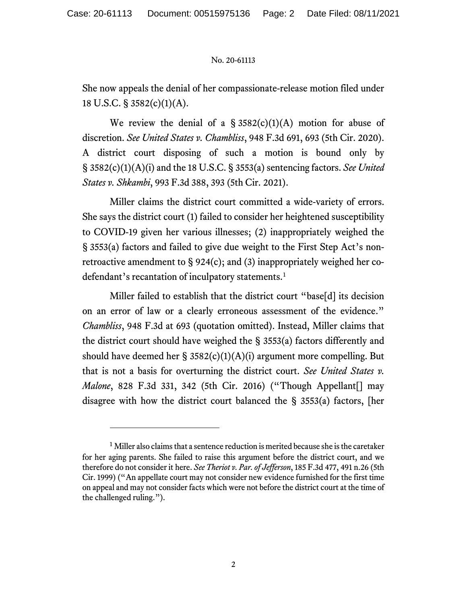## No. 20-61113

She now appeals the denial of her compassionate-release motion filed under 18 U.S.C. § 3582(c)(1)(A).

We review the denial of a  $\S$  3582(c)(1)(A) motion for abuse of discretion. *See United States v. Chambliss*, 948 F.3d 691, 693 (5th Cir. 2020). A district court disposing of such a motion is bound only by § 3582(c)(1)(A)(i) and the 18 U.S.C. § 3553(a) sentencing factors. *See United States v. Shkambi*, 993 F.3d 388, 393 (5th Cir. 2021).

Miller claims the district court committed a wide-variety of errors. She says the district court (1) failed to consider her heightened susceptibility to COVID-19 given her various illnesses; (2) inappropriately weighed the § 3553(a) factors and failed to give due weight to the First Step Act's nonretroactive amendment to § 924(c); and (3) inappropriately weighed her codefendant's recantation of inculpatory statements. [1](#page-1-0)

Miller failed to establish that the district court "base[d] its decision on an error of law or a clearly erroneous assessment of the evidence." *Chambliss*, 948 F.3d at 693 (quotation omitted). Instead, Miller claims that the district court should have weighed the § 3553(a) factors differently and should have deemed her  $\S$  3582(c)(1)(A)(i) argument more compelling. But that is not a basis for overturning the district court. *See United States v. Malone*, 828 F.3d 331, 342 (5th Cir. 2016) ("Though Appellant[] may disagree with how the district court balanced the § 3553(a) factors, [her

<span id="page-1-0"></span> $<sup>1</sup>$  Miller also claims that a sentence reduction is merited because she is the caretaker</sup> for her aging parents. She failed to raise this argument before the district court, and we therefore do not consider it here. *See Theriot v. Par. of Jefferson*, 185 F.3d 477, 491 n.26 (5th Cir. 1999) ("An appellate court may not consider new evidence furnished for the first time on appeal and may not consider facts which were not before the district court at the time of the challenged ruling.").